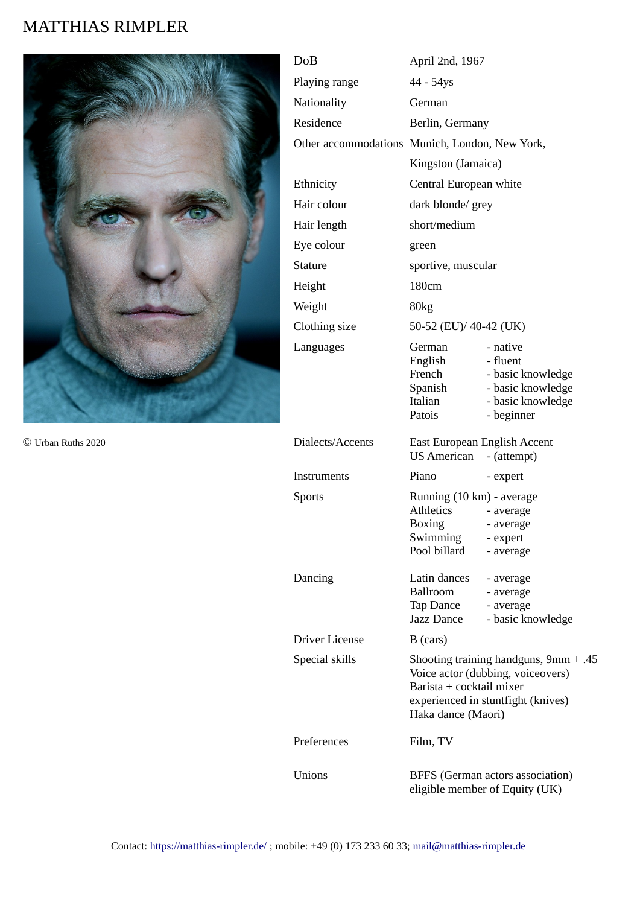# MATTHIAS RIMPLER



© Urban Ruths 2020

| DoB                   | April 2nd, 1967                                                                                                                                                      |                                                                                          |
|-----------------------|----------------------------------------------------------------------------------------------------------------------------------------------------------------------|------------------------------------------------------------------------------------------|
| Playing range         | 44 - 54ys                                                                                                                                                            |                                                                                          |
| Nationality           | German                                                                                                                                                               |                                                                                          |
| Residence             | Berlin, Germany                                                                                                                                                      |                                                                                          |
|                       | Other accommodations Munich, London, New York,                                                                                                                       |                                                                                          |
|                       | Kingston (Jamaica)                                                                                                                                                   |                                                                                          |
| Ethnicity             | Central European white                                                                                                                                               |                                                                                          |
| Hair colour           | dark blonde/ grey                                                                                                                                                    |                                                                                          |
| Hair length           | short/medium                                                                                                                                                         |                                                                                          |
| Eye colour            | green                                                                                                                                                                |                                                                                          |
| <b>Stature</b>        | sportive, muscular                                                                                                                                                   |                                                                                          |
| Height                | 180cm                                                                                                                                                                |                                                                                          |
| Weight                | 80kg                                                                                                                                                                 |                                                                                          |
| Clothing size         | 50-52 (EU)/ 40-42 (UK)                                                                                                                                               |                                                                                          |
| Languages             | German - native<br>English - fluent<br>Italian<br>Patois                                                                                                             | French - basic knowledge<br>Spanish - basic knowledge<br>- basic knowledge<br>- beginner |
| Dialects/Accents      | East European English Accent<br>US American - (attempt)                                                                                                              |                                                                                          |
| Instruments           | Piano                                                                                                                                                                | - expert                                                                                 |
| <b>Sports</b>         | Running (10 km) - average<br>Athletics<br>Boxing - average<br>Swimming<br>Pool billard                                                                               | - average<br>- expert<br>- average                                                       |
| Dancing               | Latin dances - average<br>Ballroom<br>Tap Dance<br>Jazz Dance                                                                                                        | - average<br>- average<br>- basic knowledge                                              |
| <b>Driver License</b> | B (cars)                                                                                                                                                             |                                                                                          |
| Special skills        | Shooting training handguns, $9mm + .45$<br>Voice actor (dubbing, voiceovers)<br>Barista + cocktail mixer<br>experienced in stuntfight (knives)<br>Haka dance (Maori) |                                                                                          |
| Preferences           | Film, TV                                                                                                                                                             |                                                                                          |
| Unions                | BFFS (German actors association)<br>eligible member of Equity (UK)                                                                                                   |                                                                                          |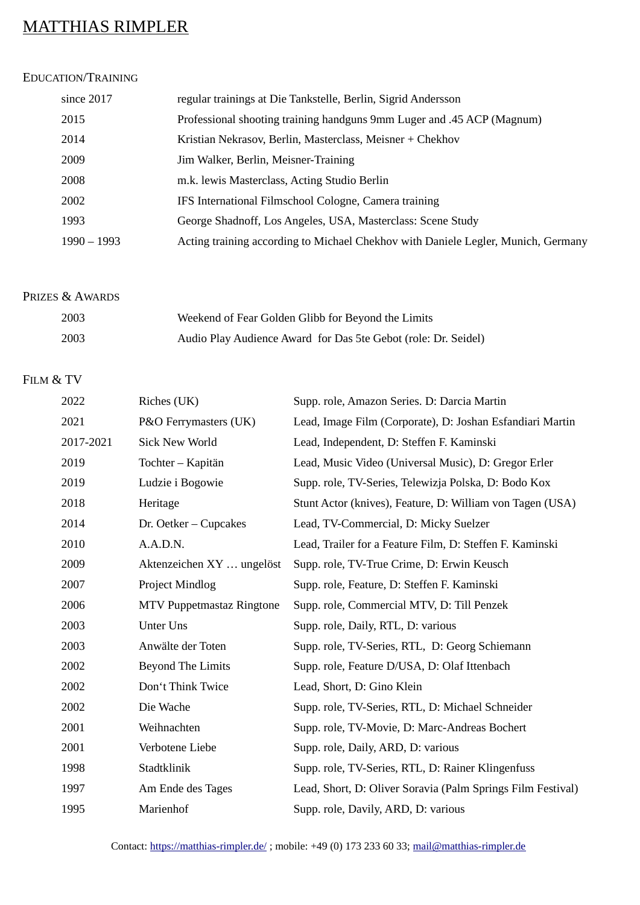## MATTHIAS RIMPLER

### EDUCATION/TRAINING

| since 2017    | regular trainings at Die Tankstelle, Berlin, Sigrid Andersson                     |
|---------------|-----------------------------------------------------------------------------------|
| 2015          | Professional shooting training handguns 9mm Luger and .45 ACP (Magnum)            |
| 2014          | Kristian Nekrasov, Berlin, Masterclass, Meisner + Chekhov                         |
| 2009          | Jim Walker, Berlin, Meisner-Training                                              |
| 2008          | m.k. lewis Masterclass, Acting Studio Berlin                                      |
| 2002          | IFS International Filmschool Cologne, Camera training                             |
| 1993          | George Shadnoff, Los Angeles, USA, Masterclass: Scene Study                       |
| $1990 - 1993$ | Acting training according to Michael Chekhov with Daniele Legler, Munich, Germany |

### PRIZES & AWARDS

| 2003 | Weekend of Fear Golden Glibb for Beyond the Limits             |
|------|----------------------------------------------------------------|
| 2003 | Audio Play Audience Award for Das 5te Gebot (role: Dr. Seidel) |

## FILM & TV

| 2022      | Riches (UK)               | Supp. role, Amazon Series. D: Darcia Martin                 |
|-----------|---------------------------|-------------------------------------------------------------|
| 2021      | P&O Ferrymasters (UK)     | Lead, Image Film (Corporate), D: Joshan Esfandiari Martin   |
| 2017-2021 | <b>Sick New World</b>     | Lead, Independent, D: Steffen F. Kaminski                   |
| 2019      | Tochter - Kapitän         | Lead, Music Video (Universal Music), D: Gregor Erler        |
| 2019      | Ludzie i Bogowie          | Supp. role, TV-Series, Telewizja Polska, D: Bodo Kox        |
| 2018      | Heritage                  | Stunt Actor (knives), Feature, D: William von Tagen (USA)   |
| 2014      | Dr. Oetker - Cupcakes     | Lead, TV-Commercial, D: Micky Suelzer                       |
| 2010      | A.A.D.N.                  | Lead, Trailer for a Feature Film, D: Steffen F. Kaminski    |
| 2009      | Aktenzeichen XY  ungelöst | Supp. role, TV-True Crime, D: Erwin Keusch                  |
| 2007      | Project Mindlog           | Supp. role, Feature, D: Steffen F. Kaminski                 |
| 2006      | MTV Puppetmastaz Ringtone | Supp. role, Commercial MTV, D: Till Penzek                  |
| 2003      | <b>Unter Uns</b>          | Supp. role, Daily, RTL, D: various                          |
| 2003      | Anwälte der Toten         | Supp. role, TV-Series, RTL, D: Georg Schiemann              |
| 2002      | <b>Beyond The Limits</b>  | Supp. role, Feature D/USA, D: Olaf Ittenbach                |
| 2002      | Don't Think Twice         | Lead, Short, D: Gino Klein                                  |
| 2002      | Die Wache                 | Supp. role, TV-Series, RTL, D: Michael Schneider            |
| 2001      | Weihnachten               | Supp. role, TV-Movie, D: Marc-Andreas Bochert               |
| 2001      | Verbotene Liebe           | Supp. role, Daily, ARD, D: various                          |
| 1998      | Stadtklinik               | Supp. role, TV-Series, RTL, D: Rainer Klingenfuss           |
| 1997      | Am Ende des Tages         | Lead, Short, D: Oliver Soravia (Palm Springs Film Festival) |
| 1995      | Marienhof                 | Supp. role, Davily, ARD, D: various                         |